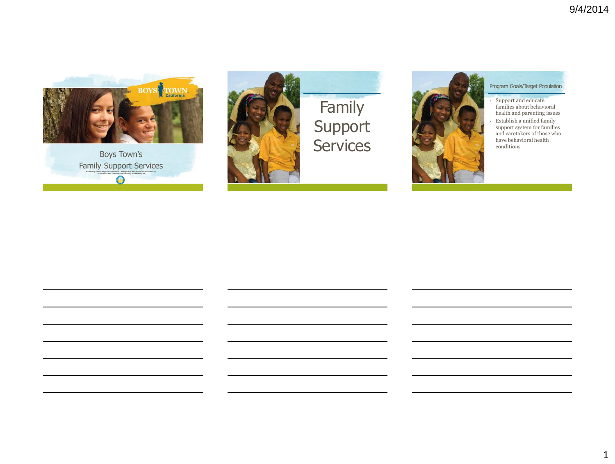1



Boys Town's **Family Support Services** ⋒



Family Support **Services** 



#### Program Goals/Target Population

› Support and educate families about behavioral health and parenting issues › Establish a unified family support system for families and caretakers of those who have behavioral health conditions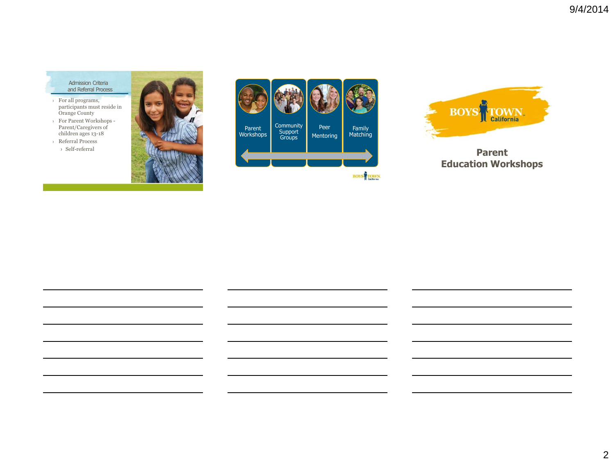Admission Criteria and Referral Process

- › For all programs, participants must reside in Orange County
- › For Parent Workshops Parent/Caregivers of children ages 13-18
- › Referral Process › Self-referral







**Parent Education Workshops**

2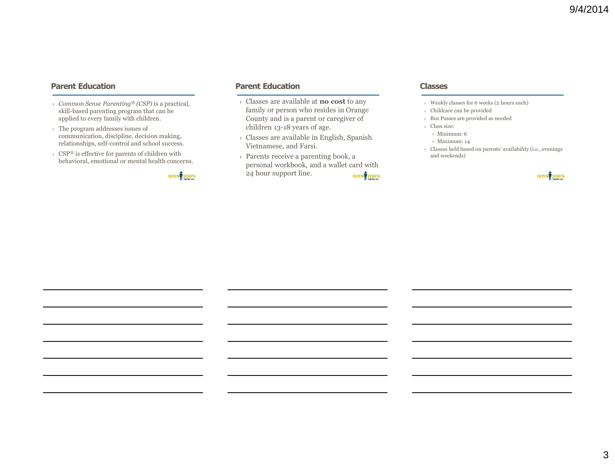#### **Parent Education**

- › *Common Sense Parenting® (CSP)* is a practical, skill-based parenting program that can be applied to every family with children.
- › The program addresses issues of communication, discipline, decision making, relationships, self-control and school success.
- › CSP® is effective for parents of children with behavioral, emotional or mental health concerns.

**BOYS** TOWN.

#### **Parent Education**

- › Classes are available at **no cost** to any family or person who resides in Orange County and is a parent or caregiver of children 13-18 years of age.
- › Classes are available in English, Spanish Vietnamese, and Farsi.
- › Parents receive a parenting book, a personal workbook, and a wallet card with 24 hour support line. **BOYS** TOWN.

**Classes**

- › Weekly classes for 6 weeks (2 hours each)
- › Childcare can be provided
- › Bus Passes are provided as needed
- › Class size:
	- › Minimum: 6
	- › Maximum: 14
- › Classes held based on parents' availability (i.e., evenings and weekends)

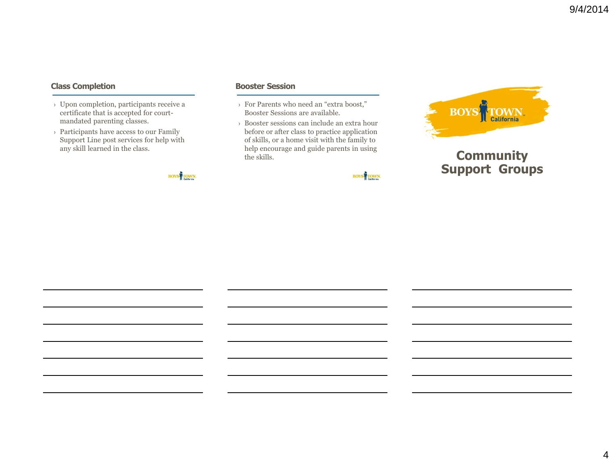#### **Class Completion**

- › Upon completion, participants receive a certificate that is accepted for courtmandated parenting classes.
- › Participants have access to our Family Support Line post services for help with any skill learned in the class.

#### **Booster Session**

- › For Parents who need an "extra boost," Booster Sessions are available.
- › Booster sessions can include an extra hour before or after class to practice application of skills, or a home visit with the family to help encourage and guide parents in using the skills. **Community**





# **Support Groups**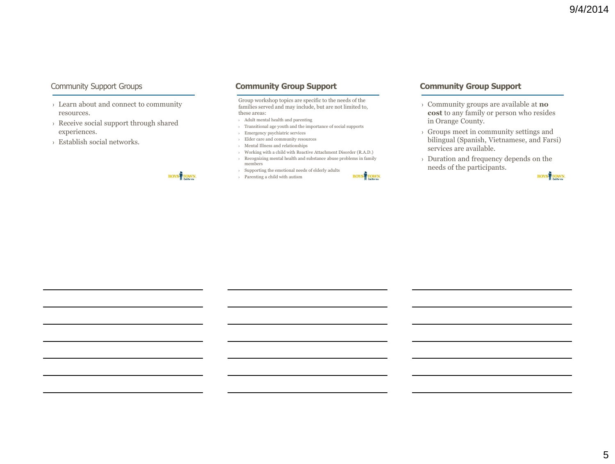## Community Support Groups

- › Learn about and connect to community resources.
- › Receive social support through shared experiences.
- › Establish social networks.

#### **Community Group Support**

Group workshop topics are specific to the needs of the families served and may include, but are not limited to, these areas:

- $\rightarrow$   $\,$  Adult mental health and parenting
- › Transitional age youth and the importance of social supports
- › Emergency psychiatric services
- › Elder care and community resources
- › Mental Illness and relationships
- › Working with a child with Reactive Attachment Disorder (R.A.D.)
- › Recognizing mental health and substance abuse problems in family members
- › Supporting the emotional needs of elderly adults
- › Parenting a child with autism



#### **Community Group Support**

- › Community groups are available at **no cost** to any family or person who resides in Orange County.
- › Groups meet in community settings and bilingual (Spanish, Vietnamese, and Farsi) services are available.
- › Duration and frequency depends on the needs of the participants.

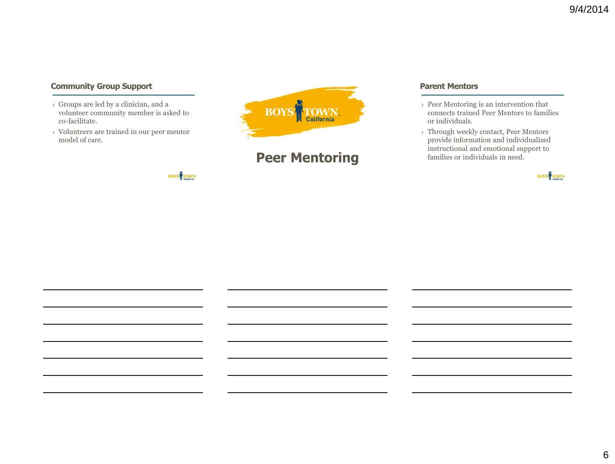# **Community Group Support**

- › Groups are led by a clinician, and a volunteer community member is asked to co-facilitate.
- › Volunteers are trained in our peer mentor model of care.



# **Peer Mentoring**

#### **Parent Mentors**

- › Peer Mentoring is an intervention that connects trained Peer Mentors to families or individuals.
- › Through weekly contact, Peer Mentors provide information and individualized instructional and emotional support to families or individuals in need.

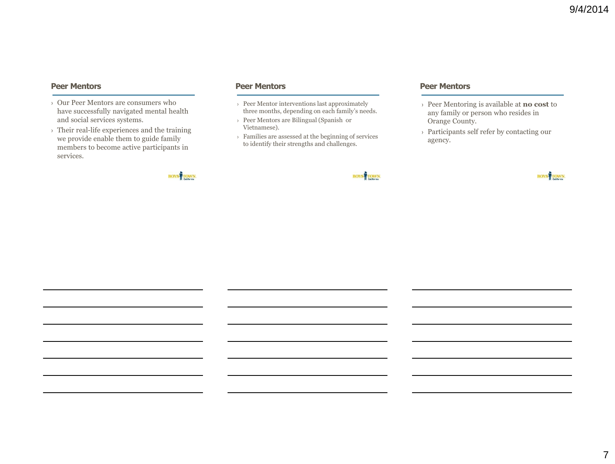#### **Peer Mentors**

- › Our Peer Mentors are consumers who have successfully navigated mental health and social services systems.
- $\rightarrow$  Their real-life experiences and the training we provide enable them to guide family members to become active participants in services.

#### **Peer Mentors**

- › Peer Mentor interventions last approximately three months, depending on each family's needs.
- › Peer Mentors are Bilingual (Spanish or Vietnamese).
- › Families are assessed at the beginning of services to identify their strengths and challenges.



#### **Peer Mentors**

- › Peer Mentoring is available at **no cost** to any family or person who resides in Orange County.
- › Participants self refer by contacting our agency.

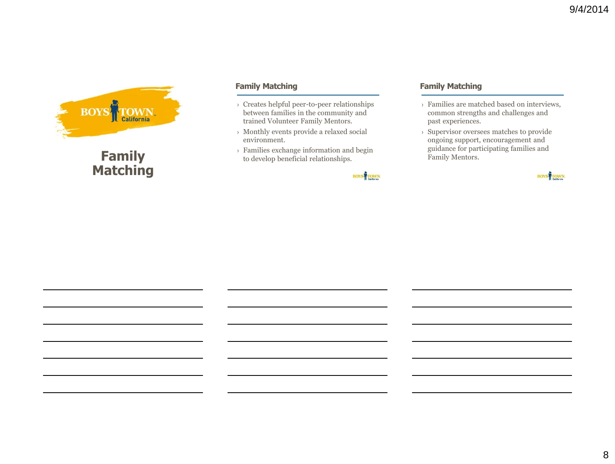

**Family Matching**

#### **Family Matching**

- › Creates helpful peer-to-peer relationships between families in the community and trained Volunteer Family Mentors.
- › Monthly events provide a relaxed social environment.
- › Families exchange information and begin to develop beneficial relationships.

# **BOYS** TOWN.

#### **Family Matching**

- › Families are matched based on interviews, common strengths and challenges and past experiences.
- › Supervisor oversees matches to provide ongoing support, encouragement and guidance for participating families and Family Mentors.

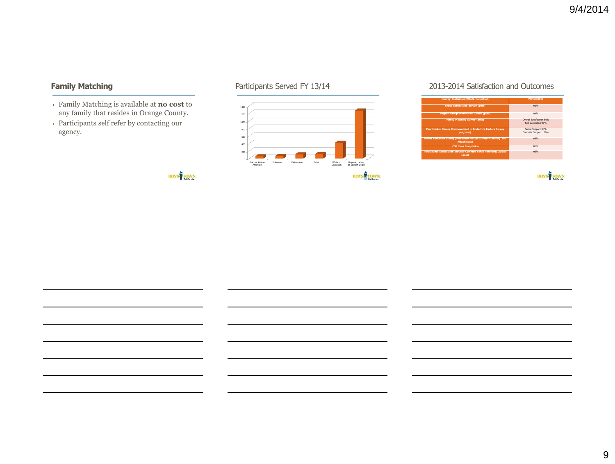# **Family Matching**

- › Family Matching is available at **no cost** to any family that resides in Orange County.
- › Participants self refer by contacting our agency.

# Participants Served FY 13/14



## 2013-2014 Satisfaction and Outcomes

| <b>Survey Instrument/Data Collection</b>                                                | Percentages                                   |
|-----------------------------------------------------------------------------------------|-----------------------------------------------|
| <b>Group Satisfaction Survey (post)</b>                                                 | 97%                                           |
| <b>Support Group-Information Useful (post)</b>                                          | 94%                                           |
| <b>Family Matching Survey (post)</b>                                                    | Overal Satisfaction 86%<br>Felt Supported-96% |
| Peer Mentor Survey (Improvement in Protective Factors Survey)<br>pre/post)              | Social Support 96%<br>Concrete Support 100%   |
| Parent Education Survey (Protective Factors Survey-Nurturing and<br><b>Attachment</b> ) | 68%                                           |
| <b>CSP Class Completion</b>                                                             | 81%                                           |
| <b>Participants Satisfaction Surveys-Common Sense Parenting Classes</b><br>(post)       | 96%                                           |

**BOYS** TOWN.